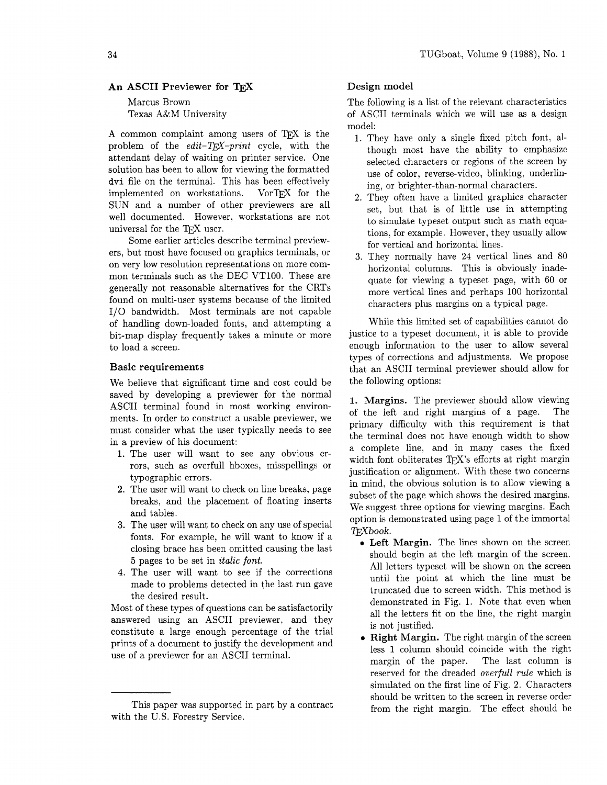# **An ASCII Previewer for TEX**

Marcus Brown Texas A&M University

A common complaint among users of T<sub>F</sub>X is the problem of the *edit-Q\$-print* cycle, with the attendant delay of waiting on printer service. One solution has been to allow for viewing the formatted dvi file on the terminal. This has been effectively implemented on workstations. VorTFX for the SUN and a number of other previewers are all well documented. However, workstations are not universal for the TFX user.

Some earlier articles describe terminal previewers, but most have focused on graphics terminals, or on very low resolution representations on more common terminals such as the DEC VT100. These are generally not reasonable alternatives for the CRTs found on multi-user systems because of the limited I/O bandwidth. Most terminals are not capable of handling down-loaded fonts, and attempting a bit-map display frequently takes a minute or more to load a screen.

# **Basic requirements**

We believe that significant time and cost could be saved by developing a previewer for the normal ASCII terminal found in most working environments. In order to construct a usable previewer, we must consider what the user typically needs to see in a preview of his document:

- 1. The user will want to see any obvious errors, such as overfull hboxes, misspellings or typographic errors.
- **2.** The user will want to check on line breaks, page breaks, and the placement of floating inserts and tables.
- **3.** The user will want to check on any use of special fonts. For example, he will want to know if a closing brace has been omitted causing the last **5** pages to be set in *italic font.*
- 4. The user will want to see if the corrections made to problems detected in the last run gave the desired result.

Most of these types of questions can be satisfactorily answered using an ASCII previewer, and they constitute a large enough percentage of the trial prints of a document to justify the development and use of a previewer for an ASCII terminal.

# **Design model**

The following is a list of the relevant characteristics of ASCII terminals which we will use as a design model:

- 1. They have only a single fixed pitch font, although most have the ability to emphasize selected characters or regions of the screen by use of color, reverse-video, blinking, underlining, or brighter-than-normal characters.
- 2. They often have a limited graphics character set, but that is of little use in attempting to simulate typeset output such as math equations, for example. However, they usually allow for vertical and horizontal lines.
- **3.** They normally have 24 vertical lines and 80 horizontal columns. This is obviously inadequate for viewing a typeset page, with 60 or more vertical lines and perhaps 100 horizontal characters plus margins on a typical page.

While this limited set of capabilities cannot do justice to a typeset document, it is able to provide enough information to the user to allow several types of corrections and adjustments. We propose that an ASCII terminal previewer should allow for the following options:

**1. Margins.** The previewer should allow viewing of the left and right margins of a page. The primary difficulty with this requirement is that the terminal does not have enough width to show a complete line, and in many cases the fixed width font obliterates TFX's efforts at right margin justification or alignment. With these two concerns in mind, the obvious solution is to allow viewing a subset of the page which shows the desired margins. We suggest three options for viewing margins. Each option is demonstrated using page 1 of the immortal Tpxbook.

- **0 Left Margin.** The lines shown on the screen should begin at the left margin of the screen. All letters typeset will be shown on the screen until the point at which the line must be truncated due to screen width. This method is demonstrated in Fig. 1. Note that even when all the letters fit on the line, the right margin is not justified.
- **Right Margin.** The right margin of the screen less 1 column should coincide with the right margin of the paper. The last column is reserved for the dreaded *overfu11 rde* which is simulated on the first line of Fig. 2. Characters should be written to the screen in reverse order This paper was supported in part by a contract from the right margin. The effect should be

with the U.S. Forestry Service.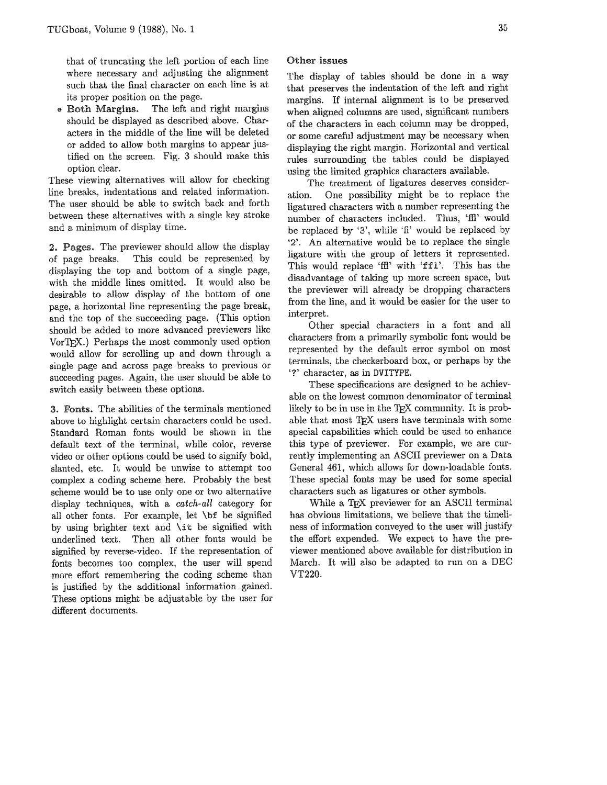that of truncating the left portion of each line where necessary and adjusting the alignment such that the final character on each line is at its proper position on the page.

• Both Margins. The left and right margins should be displayed **as** described above. Characters in the middle of the line will be deleted or added to allow both margins to appear justified on the screen. Fig. **3** should make this option clear.

These viewing alternatives will allow for checking line breaks, indentations and related information. The user should be able to switch back and forth between these alternatives with a single key stroke and a minimum of display time.

2. Pages. The previewer should allow the display of page breaks. This could be represented by displaying the top and bottom of a single page, with the middle lines omitted. It would also be desirable to allow display of the bottom of one page, a horizontal line representing the page break, and the top of the succeeding page. (This option should be added to more advanced previewers like VorTEX.) Perhaps the most commonly used option would allow for scrolling up and down through a single page and across page breaks to previow or succeeding pages. Again, the user should be able to switch easily between these options.

s. The abilities of the terminals mentioned above to highlight certain characters eould be used. Standard Roman fonts would be shown in the default text of the terminal, while color, reverse video or other options could be used to signify bold, slanted, etc. It would be unwise to attempt too complex a coding scheme here. Probably the best scheme would be to use only one or two alternative display techniques, with a *catch-ail* category for all other fonts. For example, let  $\bf \delta$  be signified by using brighter text and **\it** be signified with underlined text. Then all other fonts would be signified by reverse-video. If the representation of fonts becomes too complex, the user will spend more effort remembering the coding scheme than is justified by the additional information gained. These options might be adjustable by the user for different documents.

## Other issues

The display of tables should be done in a way that preserves the indentation of the left and right margins. If internal alignment is to be preserved when aligned columns are used, significant numbers of the characters in each column may be dropped, or some careful adjustment may be necessary when displaying the right margin. Horizontal and vertical rules surrounding the tables could be displayed using the limited graphics charxters available.

The treatment of ligatures deserves consideration. One possibility might be to replace the ligatured characters with a number representing the number of characters included. Thus, 'ffl' would be replaced by '3', while 'fi' would be replaced by '2'. An alternative would be to replace the single ligature with the group of letters it represented. This would replace 'ffl' with 'ffl'. This has the disadvantage of taking up more screen space, but the previewer will already be dropping characters from the line, and it would be easier for the user to interpret.

Other special characters in a font and all characters from a primarily symbolic font would be represented by the default error symbol on most terminals, the checkerboard box, or perhaps by the '7' character, **as** in DVITYPE.

These specifications are designed to be achievable on the lowest common denorninator of terminal likely to be in use in the TEX community. It is probable that most TEX users have terminals with some special capabilities which could be used to enhance this type of previewer. For example, we are currently implementing an ASCII previewer on a Data General 461, which allows for down-loadable fonts. These special fonts may be used for some special characters such as ligatures or other symbols.

While a TFX previewer for an ASCII terminal has obvious limitations, we believe that the timeliness of information conveyed to the user will justify the effort expended. We expect to have the previewer mentioned above available for distribution in March. It will also be adapted to run on a **VT220.**